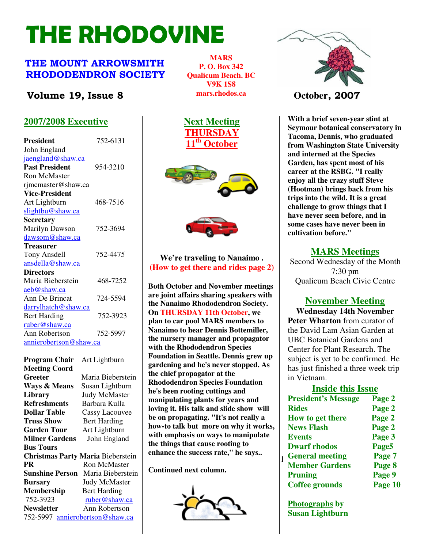# THE RHODOVINE

# THE MOUNT ARROWSMITH RHODODENDRON SOCIETY

# **Volume 19, Issue 8 Constant Mars.** Photos.ca **Constant October**, 2007

# **2007/2008 Executive**

| <b>President</b>              | 752-6131 |
|-------------------------------|----------|
| John England                  |          |
| jaengland@shaw.ca             |          |
| <b>Past President</b>         | 954-3210 |
| <b>Ron McMaster</b>           |          |
| rjmcmaster@shaw.ca            |          |
| <b>Vice-President</b>         |          |
| Art Lightburn                 | 468-7516 |
| slightbu@shaw.ca              |          |
| <b>Secretary</b>              |          |
| Marilyn Dawson                | 752-3694 |
| dawsom@shaw.ca                |          |
| Treasurer                     |          |
| Tony Ansdell                  | 752-4475 |
| ansdella@shaw.ca              |          |
| <b>Directors</b>              |          |
| Maria Bieberstein             | 468-7252 |
| aeb@shaw.ca                   |          |
| Ann De Brincat                | 724-5594 |
| <u>darrylhatch@shaw.ca</u>    |          |
| <b>Bert Harding</b>           | 752-3923 |
| ruber@shaw.ca                 |          |
| Ann Robertson                 | 752-5997 |
| <u>annierobertson@shaw.ca</u> |          |

**Christmas Party Maria** Bieberstein **emiance the success rate, the says..** [1 General] **Program Chair** Art Lightburn **Meeting Coord Greeter** Maria Bieberstein **Ways & Means** Susan Lightburn **Library** Judy McMaster **Refreshments** Barbara Kulla **Dollar Table** Cassy Lacouvee **Truss Show** Bert Harding **Garden Tour** Art Lightburn **Milner Gardens** John England **Bus Tours PR** Ron McMaster **Sunshine Person** Maria Bieberstein **Bursary** Judy McMaster **Membership** Bert Harding 752-3923 ruber@shaw.ca **Newsletter** Ann Robertson 752-5997 annierobertson@shaw.ca

**MARS P. O. Box 342 Qualicum Beach. BC V9K 1S8 mars.rhodos.ca** 







**We're traveling to Nanaimo . (How to get there and rides page 2)** 

**Both October and November meetings are joint affairs sharing speakers with the Nanaimo Rhododendron Society. On THURSDAY 11th October, we plan to car pool MARS members to Nanaimo to hear Dennis Bottemiller, the nursery manager and propagator with the Rhododendron Species Foundation in Seattle. Dennis grew up gardening and he's never stopped. As the chief propagator at the Rhododendron Species Foundation he's been rooting cuttings and manipulating plants for years and loving it. His talk and slide show will be on propagating. "It's not really a how-to talk but more on why it works, with emphasis on ways to manipulate the things that cause rooting to enhance the success rate," he says..** 

**Continued next column.** 





**With a brief seven-year stint at Seymour botanical conservatory in Tacoma, Dennis, who graduated from Washington State University and interned at the Species Garden, has spent most of his career at the RSBG. "I really enjoy all the crazy stuff Steve (Hootman) brings back from his trips into the wild. It is a great challenge to grow things that I have never seen before, and in some cases have never been in cultivation before."** 

#### **MARS Meetings**

 Second Wednesday of the Month 7:30 pm Qualicum Beach Civic Centre

# **November Meeting**

**Wednesday 14th November Peter Wharton** from curator of the David Lam Asian Garden at UBC Botanical Gardens and Center for Plant Research. The subject is yet to be confirmed. He has just finished a three week trip in Vietnam.

#### **Inside this Issue**

| Page 2  |
|---------|
| Page 2  |
| Page 2  |
| Page 2  |
| Page 3  |
| Page5   |
| Page 7  |
| Page 8  |
| Page 9  |
| Page 10 |
|         |

**Photographs by Susan Lightburn**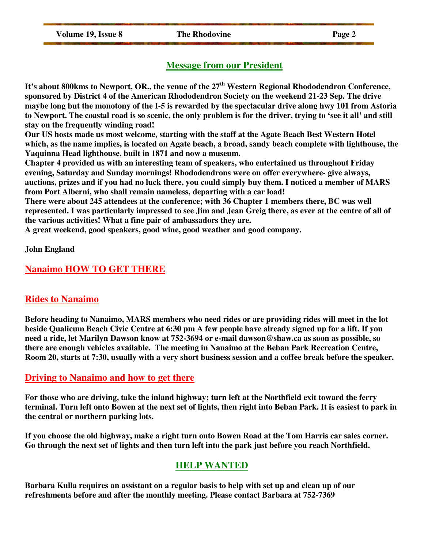**Volume 19, Issue 8** The Rhodovine Page 2

# **Message from our President**

**It's about 800kms to Newport, OR., the venue of the 27th Western Regional Rhododendron Conference, sponsored by District 4 of the American Rhododendron Society on the weekend 21-23 Sep. The drive maybe long but the monotony of the I-5 is rewarded by the spectacular drive along hwy 101 from Astoria to Newport. The coastal road is so scenic, the only problem is for the driver, trying to 'see it all' and still stay on the frequently winding road!** 

**Our US hosts made us most welcome, starting with the staff at the Agate Beach Best Western Hotel which, as the name implies, is located on Agate beach, a broad, sandy beach complete with lighthouse, the Yaquinna Head lighthouse, built in 1871 and now a museum.** 

**Chapter 4 provided us with an interesting team of speakers, who entertained us throughout Friday evening, Saturday and Sunday mornings! Rhododendrons were on offer everywhere- give always, auctions, prizes and if you had no luck there, you could simply buy them. I noticed a member of MARS from Port Alberni, who shall remain nameless, departing with a car load!** 

**There were about 245 attendees at the conference; with 36 Chapter 1 members there, BC was well represented. I was particularly impressed to see Jim and Jean Greig there, as ever at the centre of all of the various activities! What a fine pair of ambassadors they are.** 

**A great weekend, good speakers, good wine, good weather and good company.** 

**John England** 

# **Nanaimo HOW TO GET THERE**

### **Rides to Nanaimo**

**Before heading to Nanaimo, MARS members who need rides or are providing rides will meet in the lot beside Qualicum Beach Civic Centre at 6:30 pm A few people have already signed up for a lift. If you need a ride, let Marilyn Dawson know at 752-3694 or e-mail dawson@shaw.ca as soon as possible, so there are enough vehicles available. The meeting in Nanaimo at the Beban Park Recreation Centre, Room 20, starts at 7:30, usually with a very short business session and a coffee break before the speaker.** 

### **Driving to Nanaimo and how to get there**

**For those who are driving, take the inland highway; turn left at the Northfield exit toward the ferry terminal. Turn left onto Bowen at the next set of lights, then right into Beban Park. It is easiest to park in the central or northern parking lots.** 

**If you choose the old highway, make a right turn onto Bowen Road at the Tom Harris car sales corner. Go through the next set of lights and then turn left into the park just before you reach Northfield.** 

# **HELP WANTED**

**Barbara Kulla requires an assistant on a regular basis to help with set up and clean up of our refreshments before and after the monthly meeting. Please contact Barbara at 752-7369**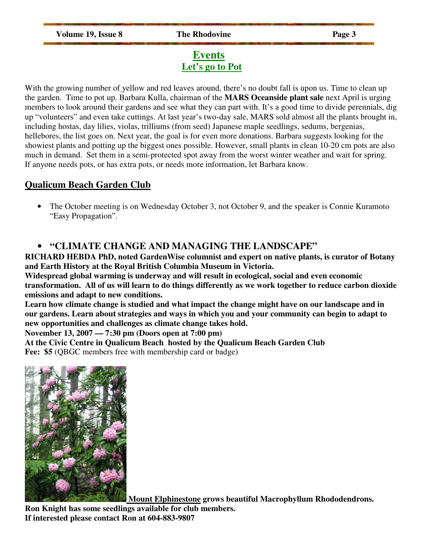# **Events Let's go to Pot**

With the growing number of yellow and red leaves around, there's no doubt fall is upon us. Time to clean up the garden. Time to pot up. Barbara Kulla, chairman of the **MARS Oceanside plant sale** next April is urging members to look around their gardens and see what they can part with. It's a good time to divide perennials, dig up "volunteers" and even take cuttings. At last year's two-day sale, MARS sold almost all the plants brought in, including hostas, day lilies, violas, trilliums (from seed) Japanese maple seedlings, sedums, bergenias, hellebores, the list goes on. Next year, the goal is for even more donations. Barbara suggests looking for the showiest plants and potting up the biggest ones possible. However, small plants in clean 10-20 cm pots are also much in demand. Set them in a semi-protected spot away from the worst winter weather and wait for spring. If anyone needs pots, or has extra pots, or needs more information, let Barbara know.

## **Qualicum Beach Garden Club**

• The October meeting is on Wednesday October 3, not October 9, and the speaker is Connie Kuramoto "Easy Propagation".

# • **"CLIMATE CHANGE AND MANAGING THE LANDSCAPE"**

**RICHARD HEBDA PhD, noted GardenWise columnist and expert on native plants, is curator of Botany and Earth History at the Royal British Columbia Museum in Victoria.** 

**Widespread global warming is underway and will result in ecological, social and even economic transformation. All of us will learn to do things differently as we work together to reduce carbon dioxide emissions and adapt to new conditions.** 

**Learn how climate change is studied and what impact the change might have on our landscape and in our gardens. Learn about strategies and ways in which you and your community can begin to adapt to new opportunities and challenges as climate change takes hold.** 

**November 13, 2007 — 7:30 pm (Doors open at 7:00 pm)** 

**At the Civic Centre in Qualicum Beach hosted by the Qualicum Beach Garden Club Fee: \$5** (QBGC members free with membership card or badge)



 **Mount Elphinestone grows beautiful Macrophyllum Rhododendrons.** 

**Ron Knight has some seedlings available for club members. If interested please contact Ron at 604-883-9807**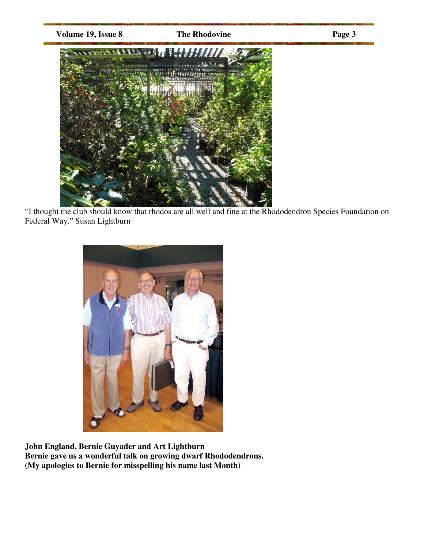

"I thought the club should know that rhodos are all well and fine at the Rhododendron Species Foundation on Federal Way." Susan Lightburn



**John England, Bernie Guyader and Art Lightburn Bernie gave us a wonderful talk on growing dwarf Rhododendrons. (My apologies to Bernie for misspelling his name last Month)**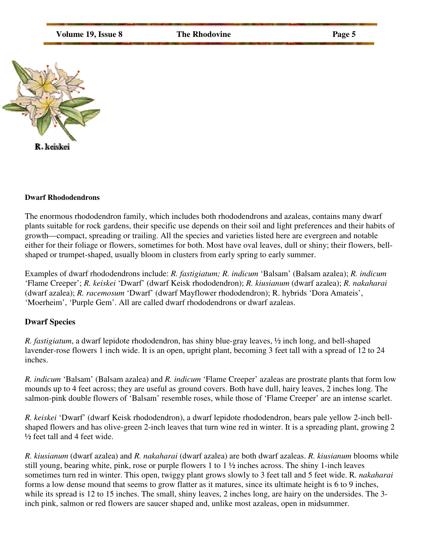**Volume 19, Issue 8** The Rhodovine Page 5



#### **Dwarf Rhododendrons**

The enormous rhododendron family, which includes both rhododendrons and azaleas, contains many dwarf plants suitable for rock gardens, their specific use depends on their soil and light preferences and their habits of growth—compact, spreading or trailing. All the species and varieties listed here are evergreen and notable either for their foliage or flowers, sometimes for both. Most have oval leaves, dull or shiny; their flowers, bellshaped or trumpet-shaped, usually bloom in clusters from early spring to early summer.

Examples of dwarf rhododendrons include: *R. fastigiatum; R. indicum* 'Balsam' (Balsam azalea); *R. indicum* 'Flame Creeper'; *R. keiskei* 'Dwarf' (dwarf Keisk rhododendron); *R. kiusianum* (dwarf azalea); *R. nakaharai* (dwarf azalea); *R. racemosum* 'Dwarf' (dwarf Mayflower rhododendron); R. hybrids 'Dora Amateis', 'Moerheim', 'Purple Gem'. All are called dwarf rhododendrons or dwarf azaleas.

#### **Dwarf Species**

*R. fastigiatum*, a dwarf lepidote rhododendron, has shiny blue-gray leaves, ½ inch long, and bell-shaped lavender-rose flowers 1 inch wide. It is an open, upright plant, becoming 3 feet tall with a spread of 12 to 24 inches.

*R. indicum* 'Balsam' (Balsam azalea) and *R. indicum* 'Flame Creeper' azaleas are prostrate plants that form low mounds up to 4 feet across; they are useful as ground covers. Both have dull, hairy leaves, 2 inches long. The salmon-pink double flowers of 'Balsam' resemble roses, while those of 'Flame Creeper' are an intense scarlet.

*R. keiskei* 'Dwarf' (dwarf Keisk rhododendron), a dwarf lepidote rhododendron, bears pale yellow 2-inch bellshaped flowers and has olive-green 2-inch leaves that turn wine red in winter. It is a spreading plant, growing 2  $\frac{1}{2}$  feet tall and 4 feet wide.

*R. kiusianum* (dwarf azalea) and *R. nakaharai* (dwarf azalea) are both dwarf azaleas. *R. kiusianum* blooms while still young, bearing white, pink, rose or purple flowers 1 to  $1\frac{1}{2}$  inches across. The shiny 1-inch leaves sometimes turn red in winter. This open, twiggy plant grows slowly to 3 feet tall and 5 feet wide. R*. nakaharai* forms a low dense mound that seems to grow flatter as it matures, since its ultimate height is 6 to 9 inches, while its spread is 12 to 15 inches. The small, shiny leaves, 2 inches long, are hairy on the undersides. The 3inch pink, salmon or red flowers are saucer shaped and, unlike most azaleas, open in midsummer.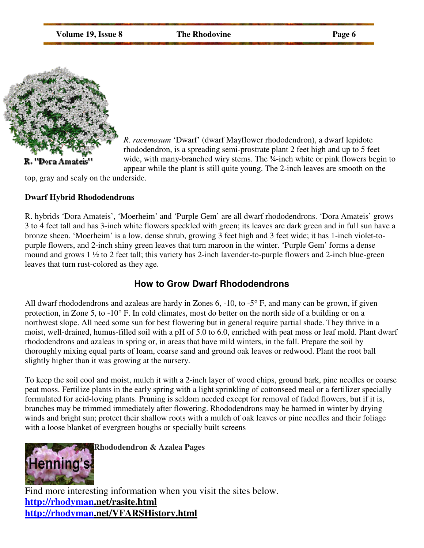**Volume 19, Issue 8** The Rhodovine Page 6



*R. racemosum* 'Dwarf' (dwarf Mayflower rhododendron), a dwarf lepidote rhododendron, is a spreading semi-prostrate plant 2 feet high and up to 5 feet wide, with many-branched wiry stems. The 34-inch white or pink flowers begin to appear while the plant is still quite young. The 2-inch leaves are smooth on the

top, gray and scaly on the underside.

#### **Dwarf Hybrid Rhododendrons**

R. hybrids 'Dora Amateis', 'Moerheim' and 'Purple Gem' are all dwarf rhododendrons. 'Dora Amateis' grows 3 to 4 feet tall and has 3-inch white flowers speckled with green; its leaves are dark green and in full sun have a bronze sheen. 'Moerheim' is a low, dense shrub, growing 3 feet high and 3 feet wide; it has 1-inch violet-topurple flowers, and 2-inch shiny green leaves that turn maroon in the winter. 'Purple Gem' forms a dense mound and grows 1 ½ to 2 feet tall; this variety has 2-inch lavender-to-purple flowers and 2-inch blue-green leaves that turn rust-colored as they age.

### **How to Grow Dwarf Rhododendrons**

All dwarf rhododendrons and azaleas are hardy in Zones 6, -10, to -5° F, and many can be grown, if given protection, in Zone 5, to -10° F. In cold climates, most do better on the north side of a building or on a northwest slope. All need some sun for best flowering but in general require partial shade. They thrive in a moist, well-drained, humus-filled soil with a pH of 5.0 to 6.0, enriched with peat moss or leaf mold. Plant dwarf rhododendrons and azaleas in spring or, in areas that have mild winters, in the fall. Prepare the soil by thoroughly mixing equal parts of loam, coarse sand and ground oak leaves or redwood. Plant the root ball slightly higher than it was growing at the nursery.

To keep the soil cool and moist, mulch it with a 2-inch layer of wood chips, ground bark, pine needles or coarse peat moss. Fertilize plants in the early spring with a light sprinkling of cottonseed meal or a fertilizer specially formulated for acid-loving plants. Pruning is seldom needed except for removal of faded flowers, but if it is, branches may be trimmed immediately after flowering. Rhododendrons may be harmed in winter by drying winds and bright sun; protect their shallow roots with a mulch of oak leaves or pine needles and their foliage with a loose blanket of evergreen boughs or specially built screens



Find more interesting information when you visit the sites below. **http://rhodyman.net/rasite.html http://rhodyman.net/VFARSHistory.html**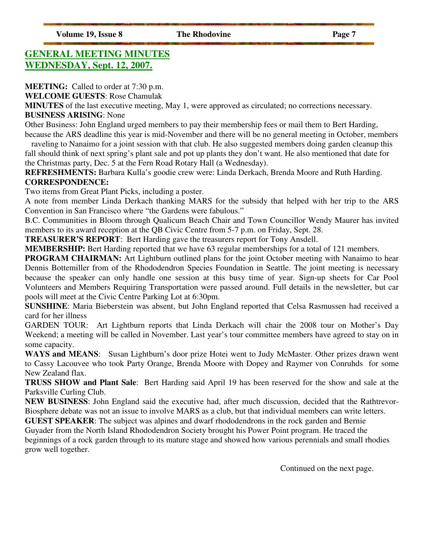# **GENERAL MEETING MINUTES WEDNESDAY, Sept. 12, 2007.**

**MEETING:** Called to order at 7:30 p.m.

**WELCOME GUESTS**: Rose Chamulak

**MINUTES** of the last executive meeting, May 1, were approved as circulated; no corrections necessary. **BUSINESS ARISING**: None

Other Business: John England urged members to pay their membership fees or mail them to Bert Harding, because the ARS deadline this year is mid-November and there will be no general meeting in October, members

raveling to Nanaimo for a joint session with that club. He also suggested members doing garden cleanup this fall should think of next spring's plant sale and pot up plants they don't want. He also mentioned that date for the Christmas party, Dec. 5 at the Fern Road Rotary Hall (a Wednesday).

**REFRESHMENTS:** Barbara Kulla's goodie crew were: Linda Derkach, Brenda Moore and Ruth Harding. **CORRESPONDENCE:** 

Two items from Great Plant Picks, including a poster.

A note from member Linda Derkach thanking MARS for the subsidy that helped with her trip to the ARS Convention in San Francisco where "the Gardens were fabulous."

B.C. Communities in Bloom through Qualicum Beach Chair and Town Councillor Wendy Maurer has invited members to its award reception at the QB Civic Centre from 5-7 p.m. on Friday, Sept. 28.

**TREASURER'S REPORT**: Bert Harding gave the treasurers report for Tony Ansdell.

**MEMBERSHIP:** Bert Harding reported that we have 63 regular memberships for a total of 121 members.

**PROGRAM CHAIRMAN:** Art Lightburn outlined plans for the joint October meeting with Nanaimo to hear Dennis Bottemiller from of the Rhododendron Species Foundation in Seattle. The joint meeting is necessary because the speaker can only handle one session at this busy time of year. Sign-up sheets for Car Pool Volunteers and Members Requiring Transportation were passed around. Full details in the newsletter, but car pools will meet at the Civic Centre Parking Lot at 6:30pm.

**SUNSHINE**: Maria Bieberstein was absent, but John England reported that Celsa Rasmussen had received a card for her illness

GARDEN TOUR: Art Lightburn reports that Linda Derkach will chair the 2008 tour on Mother's Day Weekend; a meeting will be called in November. Last year's tour committee members have agreed to stay on in some capacity.

**WAYS and MEANS**: Susan Lightburn's door prize Hotei went to Judy McMaster. Other prizes drawn went to Cassy Lacouvee who took Party Orange, Brenda Moore with Dopey and Raymer von Conruhds for some New Zealand flax.

**TRUSS SHOW and Plant Sale**: Bert Harding said April 19 has been reserved for the show and sale at the Parksville Curling Club.

**NEW BUSINESS**: John England said the executive had, after much discussion, decided that the Rathtrevor-Biosphere debate was not an issue to involve MARS as a club, but that individual members can write letters.

**GUEST SPEAKER**: The subject was alpines and dwarf rhododendrons in the rock garden and Bernie Guyader from the North Island Rhododendron Society brought his Power Point program. He traced the beginnings of a rock garden through to its mature stage and showed how various perennials and small rhodies grow well together.

Continued on the next page.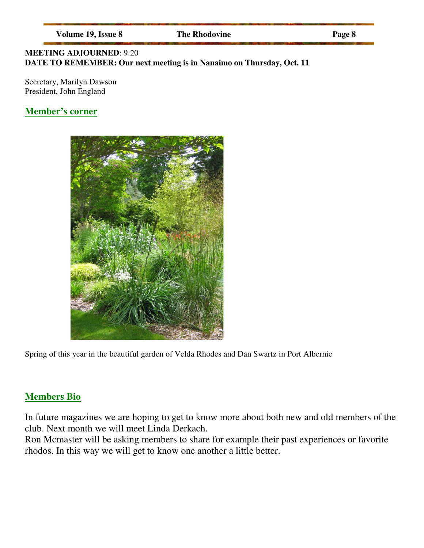| <b>Volume 19, Issue 8</b> |  |  |  |
|---------------------------|--|--|--|
|---------------------------|--|--|--|

**The Rhodovine** Page 8

### **MEETING ADJOURNED**: 9:20 **DATE TO REMEMBER: Our next meeting is in Nanaimo on Thursday, Oct. 11**

Secretary, Marilyn Dawson President, John England

# **Member's corner**



Spring of this year in the beautiful garden of Velda Rhodes and Dan Swartz in Port Albernie

# **Members Bio**

In future magazines we are hoping to get to know more about both new and old members of the club. Next month we will meet Linda Derkach.

Ron Mcmaster will be asking members to share for example their past experiences or favorite rhodos. In this way we will get to know one another a little better.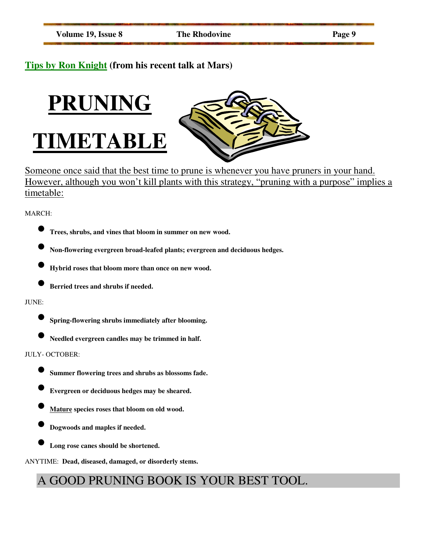# **Tips by Ron Knight (from his recent talk at Mars)**





Someone once said that the best time to prune is whenever you have pruners in your hand. However, although you won't kill plants with this strategy, "pruning with a purpose" implies a timetable:

#### MARCH:



- **Non-flowering evergreen broad-leafed plants; evergreen and deciduous hedges.**
- **Hybrid roses that bloom more than once on new wood.**
- **Berried trees and shrubs if needed.**

#### JUNE:

- **Spring-flowering shrubs immediately after blooming.**
- **Needled evergreen candles may be trimmed in half.**

#### JULY- OCTOBER:

- **Summer flowering trees and shrubs as blossoms fade.**
- **Evergreen or deciduous hedges may be sheared.**
- **Mature species roses that bloom on old wood.**
- **Dogwoods and maples if needed.** 
	- **Long rose canes should be shortened.**

ANYTIME: **Dead, diseased, damaged, or disorderly stems.** 

# A GOOD PRUNING BOOK IS YOUR BEST TOOL.